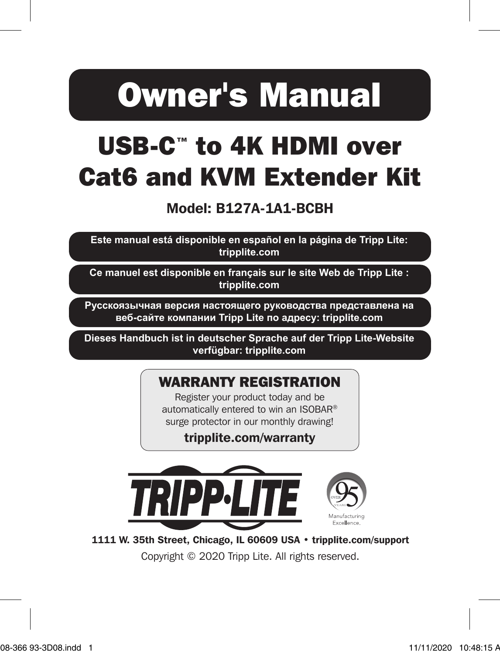# Owner's Manual

## USB-C™ to 4K HDMI over Cat6 and KVM Extender Kit

#### Model: B127A-1A1-BCBH

**Este manual está disponible en español en la página de Tripp Lite: tripplite.com**

**Ce manuel est disponible en français sur le site Web de Tripp Lite : tripplite.com**

**Русскоязычная версия настоящего руководства представлена на веб-сайте компании Tripp Lite по адресу: tripplite.com**

**Dieses Handbuch ist in deutscher Sprache auf der Tripp Lite-Website verfügbar: tripplite.com**

#### WARRANTY REGISTRATION

Register your product today and be automatically entered to win an ISOBAR® surge protector in our monthly drawing!

tripplite.com/warranty



1111 W. 35th Street, Chicago, IL 60609 USA • tripplite.com/support

Copyright © 2020 Tripp Lite. All rights reserved.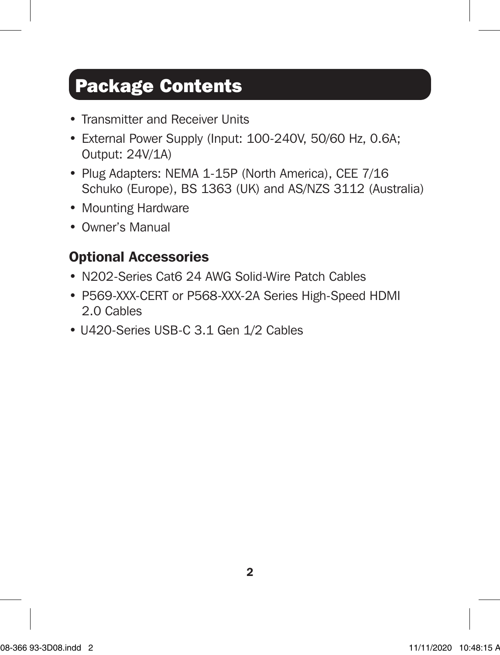### Package Contents

- Transmitter and Receiver Units
- External Power Supply (Input: 100-240V, 50/60 Hz, 0.6A; Output: 24V/1A)
- Plug Adapters: NEMA 1-15P (North America), CEE 7/16 Schuko (Europe), BS 1363 (UK) and AS/NZS 3112 (Australia)
- Mounting Hardware
- Owner's Manual

#### Optional Accessories

- N202-Series Cat6 24 AWG Solid-Wire Patch Cables
- P569-XXX-CERT or P568-XXX-2A Series High-Speed HDMI 2.0 Cables
- U420-Series USB-C 3.1 Gen 1/2 Cables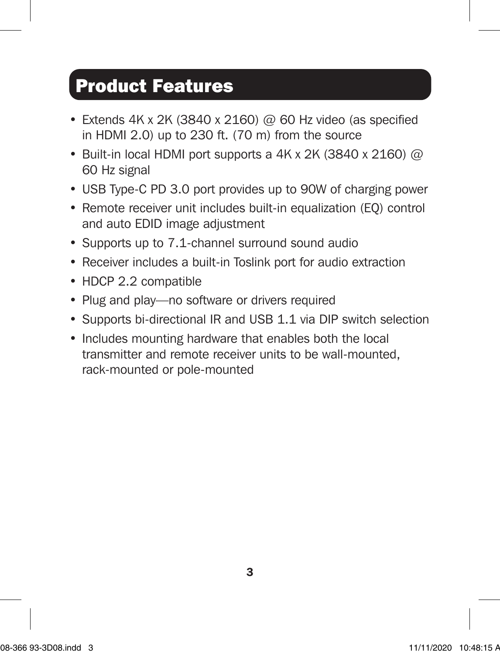### Product Features

- Extends  $4K \times 2K$  (3840 x 2160) @ 60 Hz video (as specified in HDMI 2.0) up to 230 ft. (70 m) from the source
- Built-in local HDMI port supports a 4K x 2K (3840 x 2160) @ 60 Hz signal
- USB Type-C PD 3.0 port provides up to 90W of charging power
- Remote receiver unit includes built-in equalization (EQ) control and auto EDID image adjustment
- Supports up to 7.1-channel surround sound audio
- Receiver includes a built-in Toslink port for audio extraction
- HDCP 2.2 compatible
- Plug and play—no software or drivers required
- Supports bi-directional IR and USB 1.1 via DIP switch selection
- Includes mounting hardware that enables both the local transmitter and remote receiver units to be wall-mounted, rack-mounted or pole-mounted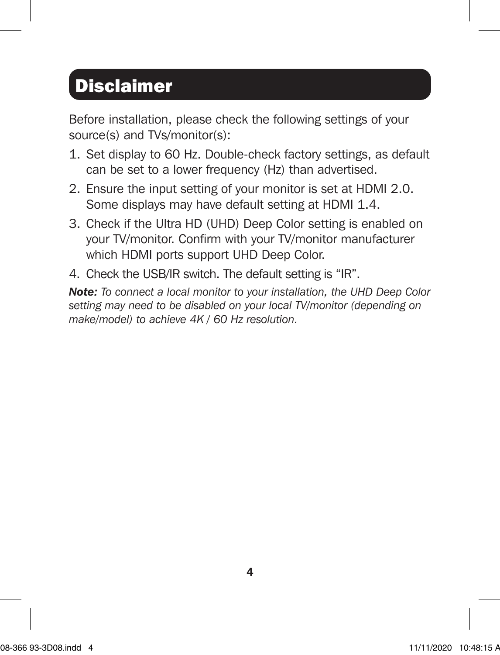### **Disclaimer**

Before installation, please check the following settings of your source(s) and TVs/monitor(s):

- 1. Set display to 60 Hz. Double-check factory settings, as default can be set to a lower frequency (Hz) than advertised.
- 2. Ensure the input setting of your monitor is set at HDMI 2.0. Some displays may have default setting at HDMI 1.4.
- 3. Check if the Ultra HD (UHD) Deep Color setting is enabled on your TV/monitor. Confirm with your TV/monitor manufacturer which HDMI ports support UHD Deep Color.
- 4. Check the USB/IR switch. The default setting is "IR".

*Note: To connect a local monitor to your installation, the UHD Deep Color setting may need to be disabled on your local TV/monitor (depending on make/model) to achieve 4K / 60 Hz resolution.*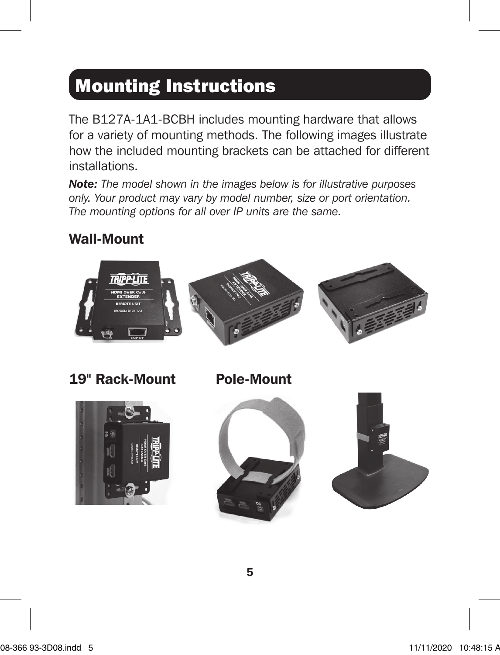### Mounting Instructions

The B127A-1A1-BCBH includes mounting hardware that allows for a variety of mounting methods. The following images illustrate how the included mounting brackets can be attached for different installations.

*Note: The model shown in the images below is for illustrative purposes only. Your product may vary by model number, size or port orientation. The mounting options for all over IP units are the same.*

#### Wall-Mount

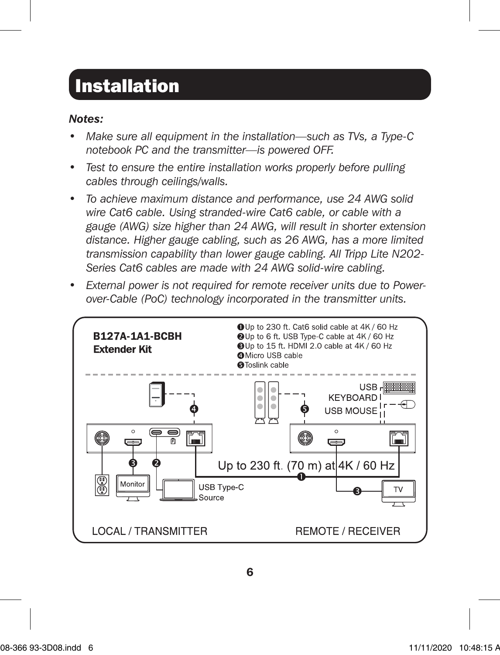### Installation

#### *Notes:*

- *Make sure all equipment in the installation—such as TVs, a Type-C notebook PC and the transmitter—is powered OFF.*
- *Test to ensure the entire installation works properly before pulling cables through ceilings/walls.*
- *To achieve maximum distance and performance, use 24 AWG solid wire Cat6 cable. Using stranded-wire Cat6 cable, or cable with a gauge (AWG) size higher than 24 AWG, will result in shorter extension distance. Higher gauge cabling, such as 26 AWG, has a more limited transmission capability than lower gauge cabling. All Tripp Lite N202- Series Cat6 cables are made with 24 AWG solid-wire cabling.*
- *External power is not required for remote receiver units due to Powerover-Cable (PoC) technology incorporated in the transmitter units.*

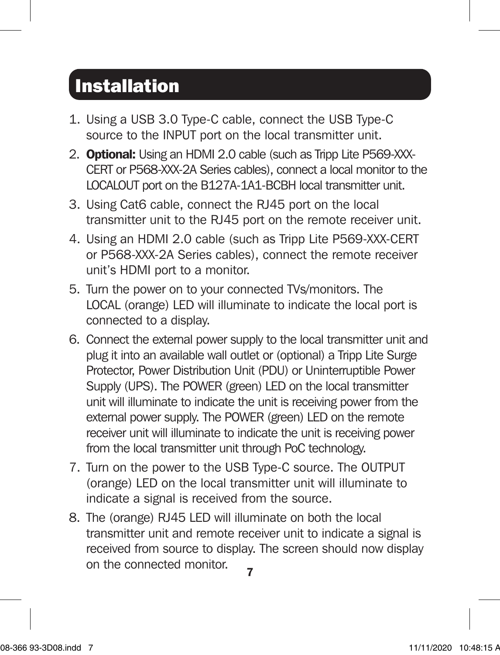### Installation

- 1. Using a USB 3.0 Type-C cable, connect the USB Type-C source to the INPUT port on the local transmitter unit.
- 2. **Optional:** Using an HDMI 2.0 cable (such as Tripp Lite P569-XXX-CERT or P568-XXX-2A Series cables), connect a local monitor to the LOCALOUT port on the B127A-1A1-BCBH local transmitter unit.
- 3. Using Cat6 cable, connect the RJ45 port on the local transmitter unit to the RJ45 port on the remote receiver unit.
- 4. Using an HDMI 2.0 cable (such as Tripp Lite P569-XXX-CERT or P568-XXX-2A Series cables), connect the remote receiver unit's HDMI port to a monitor.
- 5. Turn the power on to your connected TVs/monitors. The LOCAL (orange) LED will illuminate to indicate the local port is connected to a display.
- 6. Connect the external power supply to the local transmitter unit and plug it into an available wall outlet or (optional) a Tripp Lite Surge Protector, Power Distribution Unit (PDU) or Uninterruptible Power Supply (UPS). The POWER (green) LED on the local transmitter unit will illuminate to indicate the unit is receiving power from the external power supply. The POWER (green) LED on the remote receiver unit will illuminate to indicate the unit is receiving power from the local transmitter unit through PoC technology.
- 7. Turn on the power to the USB Type-C source. The OUTPUT (orange) LED on the local transmitter unit will illuminate to indicate a signal is received from the source.
- 7 8. The (orange) RJ45 LED will illuminate on both the local transmitter unit and remote receiver unit to indicate a signal is received from source to display. The screen should now display on the connected monitor.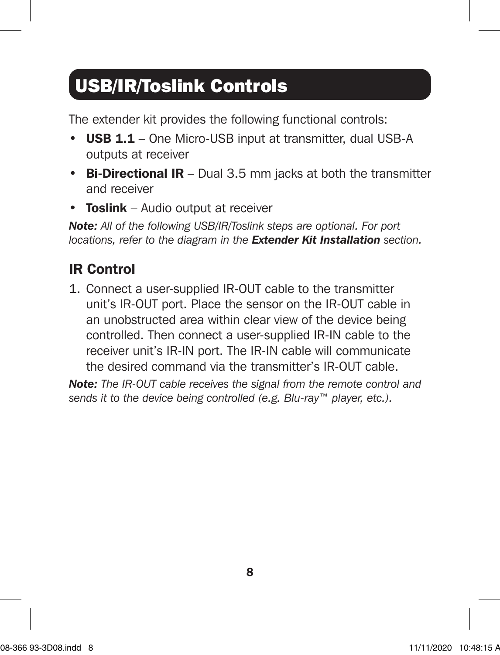### USB/IR/Toslink Controls

The extender kit provides the following functional controls:

- USB 1.1 One Micro-USB input at transmitter, dual USB-A outputs at receiver
- Bi-Directional IR Dual 3.5 mm jacks at both the transmitter and receiver
- Toslink Audio output at receiver

*Note: All of the following USB/IR/Toslink steps are optional. For port locations, refer to the diagram in the Extender Kit Installation section.*

### IR Control

1. Connect a user-supplied IR-OUT cable to the transmitter unit's IR-OUT port. Place the sensor on the IR-OUT cable in an unobstructed area within clear view of the device being controlled. Then connect a user-supplied IR-IN cable to the receiver unit's IR-IN port. The IR-IN cable will communicate the desired command via the transmitter's IR-OUT cable.

*Note: The IR-OUT cable receives the signal from the remote control and sends it to the device being controlled (e.g. Blu-ray™ player, etc.).*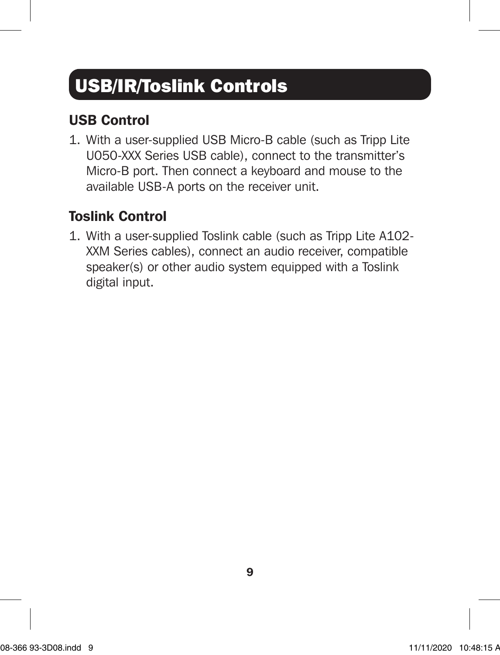### USB/IR/Toslink Controls

#### USB Control

1. With a user-supplied USB Micro-B cable (such as Tripp Lite U050-XXX Series USB cable), connect to the transmitter's Micro-B port. Then connect a keyboard and mouse to the available USB-A ports on the receiver unit.

#### Toslink Control

1. With a user-supplied Toslink cable (such as Tripp Lite A102- XXM Series cables), connect an audio receiver, compatible speaker(s) or other audio system equipped with a Toslink digital input.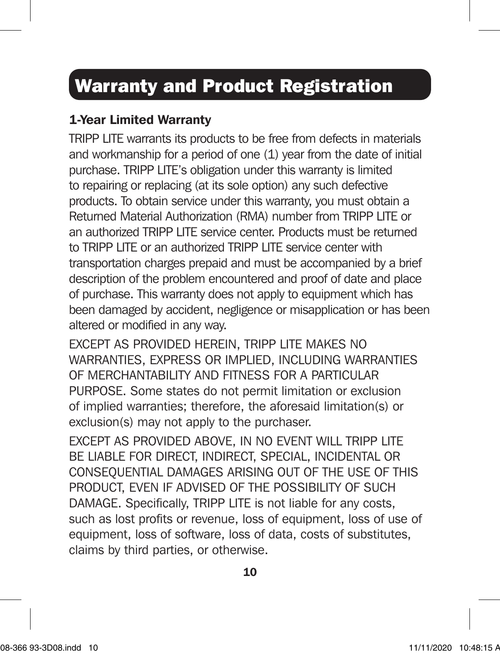### Warranty and Product Registration

#### 1-Year Limited Warranty

TRIPP LITE warrants its products to be free from defects in materials and workmanship for a period of one (1) year from the date of initial purchase. TRIPP LITE's obligation under this warranty is limited to repairing or replacing (at its sole option) any such defective products. To obtain service under this warranty, you must obtain a Returned Material Authorization (RMA) number from TRIPP LITE or an authorized TRIPP LITE service center. Products must be returned to TRIPP LITE or an authorized TRIPP LITE service center with transportation charges prepaid and must be accompanied by a brief description of the problem encountered and proof of date and place of purchase. This warranty does not apply to equipment which has been damaged by accident, negligence or misapplication or has been altered or modified in any way.

EXCEPT AS PROVIDED HEREIN, TRIPP LITE MAKES NO WARRANTIES, EXPRESS OR IMPLIED, INCLUDING WARRANTIES OF MERCHANTABILITY AND FITNESS FOR A PARTICULAR PURPOSE. Some states do not permit limitation or exclusion of implied warranties; therefore, the aforesaid limitation(s) or exclusion(s) may not apply to the purchaser.

EXCEPT AS PROVIDED ABOVE, IN NO EVENT WILL TRIPP LITE BE LIABLE FOR DIRECT, INDIRECT, SPECIAL, INCIDENTAL OR CONSEQUENTIAL DAMAGES ARISING OUT OF THE USE OF THIS PRODUCT, EVEN IF ADVISED OF THE POSSIBILITY OF SUCH DAMAGE. Specifically, TRIPP LITE is not liable for any costs, such as lost profits or revenue, loss of equipment, loss of use of equipment, loss of software, loss of data, costs of substitutes, claims by third parties, or otherwise.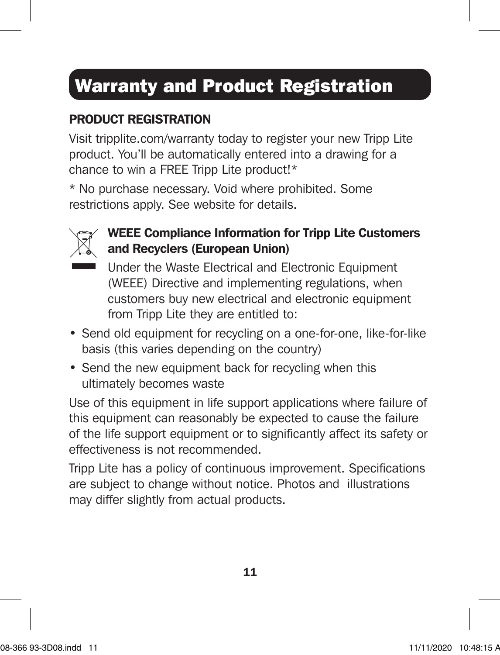### Warranty and Product Registration

#### PRODUCT REGISTRATION

Visit tripplite.com/warranty today to register your new Tripp Lite product. You'll be automatically entered into a drawing for a chance to win a FREE Tripp Lite product!\*

\* No purchase necessary. Void where prohibited. Some restrictions apply. See website for details.



#### WEEE Compliance Information for Tripp Lite Customers and Recyclers (European Union)

Under the Waste Electrical and Electronic Equipment (WEEE) Directive and implementing regulations, when customers buy new electrical and electronic equipment from Tripp Lite they are entitled to:

- Send old equipment for recycling on a one-for-one, like-for-like basis (this varies depending on the country)
- Send the new equipment back for recycling when this ultimately becomes waste

Use of this equipment in life support applications where failure of this equipment can reasonably be expected to cause the failure of the life support equipment or to significantly affect its safety or effectiveness is not recommended.

Tripp Lite has a policy of continuous improvement. Specifications are subject to change without notice. Photos and illustrations may differ slightly from actual products.